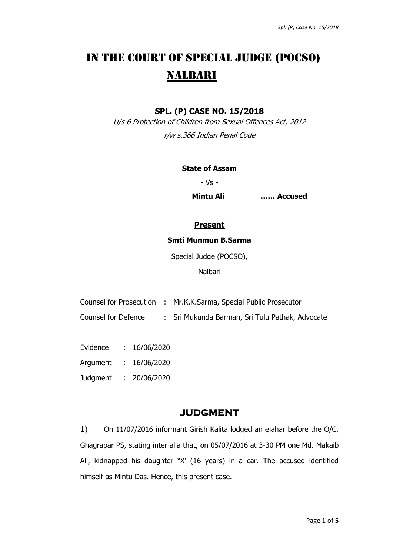# IN THE COURT OF SPECIAL JUDGE (POCSO) NALBARI

### **SPL. (P) CASE NO. 15/2018**

U/s 6 Protection of Children from Sexual Offences Act, 2012 r/w s.366 Indian Penal Code

#### **State of Assam**

- Vs -

**Mintu Ali …… Accused**

### **Present**

#### **Smti Munmun B.Sarma**

Special Judge (POCSO),

Nalbari

- Counsel for Prosecution : Mr.K.K.Sarma, Special Public Prosecutor
- Counsel for Defence : Sri Mukunda Barman, Sri Tulu Pathak, Advocate
- Evidence : 16/06/2020 Argument : 16/06/2020 Judgment : 20/06/2020

## **JUDGMENT**

1) On 11/07/2016 informant Girish Kalita lodged an ejahar before the O/C, Ghagrapar PS, stating inter alia that, on 05/07/2016 at 3-30 PM one Md. Makaib Ali, kidnapped his daughter "X' (16 years) in a car. The accused identified himself as Mintu Das. Hence, this present case.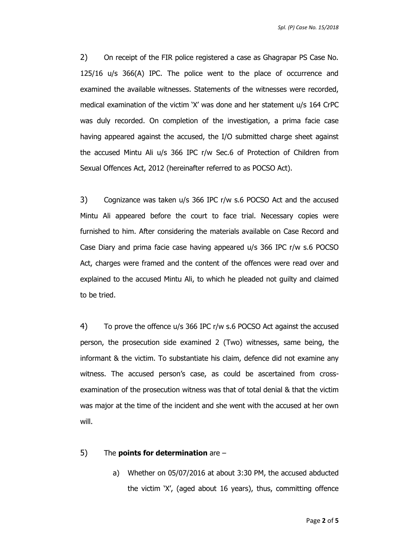*Spl. (P) Case No. 15/2018*

2) On receipt of the FIR police registered a case as Ghagrapar PS Case No. 125/16 u/s 366(A) IPC. The police went to the place of occurrence and examined the available witnesses. Statements of the witnesses were recorded, medical examination of the victim 'X' was done and her statement u/s 164 CrPC was duly recorded. On completion of the investigation, a prima facie case having appeared against the accused, the I/O submitted charge sheet against the accused Mintu Ali u/s 366 IPC r/w Sec.6 of Protection of Children from Sexual Offences Act, 2012 (hereinafter referred to as POCSO Act).

3) Cognizance was taken u/s 366 IPC r/w s.6 POCSO Act and the accused Mintu Ali appeared before the court to face trial. Necessary copies were furnished to him. After considering the materials available on Case Record and Case Diary and prima facie case having appeared u/s 366 IPC r/w s.6 POCSO Act, charges were framed and the content of the offences were read over and explained to the accused Mintu Ali, to which he pleaded not guilty and claimed to be tried.

4) To prove the offence u/s 366 IPC r/w s.6 POCSO Act against the accused person, the prosecution side examined 2 (Two) witnesses, same being, the informant & the victim. To substantiate his claim, defence did not examine any witness. The accused person's case, as could be ascertained from crossexamination of the prosecution witness was that of total denial & that the victim was major at the time of the incident and she went with the accused at her own will.

#### 5) The **points for determination** are –

a) Whether on 05/07/2016 at about 3:30 PM, the accused abducted the victim 'X', (aged about 16 years), thus, committing offence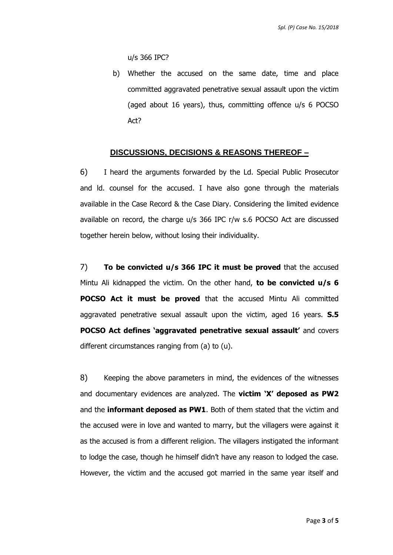u/s 366 IPC?

b) Whether the accused on the same date, time and place committed aggravated penetrative sexual assault upon the victim (aged about 16 years), thus, committing offence u/s 6 POCSO Act?

#### **DISCUSSIONS, DECISIONS & REASONS THEREOF –**

6) I heard the arguments forwarded by the Ld. Special Public Prosecutor and ld. counsel for the accused. I have also gone through the materials available in the Case Record & the Case Diary. Considering the limited evidence available on record, the charge u/s 366 IPC r/w s.6 POCSO Act are discussed together herein below, without losing their individuality.

7) **To be convicted u/s 366 IPC it must be proved** that the accused Mintu Ali kidnapped the victim. On the other hand, **to be convicted u/s 6 POCSO Act it must be proved** that the accused Mintu Ali committed aggravated penetrative sexual assault upon the victim, aged 16 years. **S.5 POCSO Act defines 'aggravated penetrative sexual assault'** and covers different circumstances ranging from (a) to (u).

8) Keeping the above parameters in mind, the evidences of the witnesses and documentary evidences are analyzed. The **victim 'X' deposed as PW2** and the **informant deposed as PW1**. Both of them stated that the victim and the accused were in love and wanted to marry, but the villagers were against it as the accused is from a different religion. The villagers instigated the informant to lodge the case, though he himself didn't have any reason to lodged the case. However, the victim and the accused got married in the same year itself and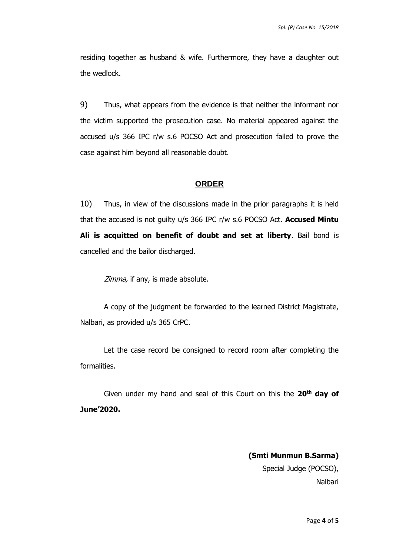residing together as husband & wife. Furthermore, they have a daughter out the wedlock.

9) Thus, what appears from the evidence is that neither the informant nor the victim supported the prosecution case. No material appeared against the accused u/s 366 IPC r/w s.6 POCSO Act and prosecution failed to prove the case against him beyond all reasonable doubt.

#### **ORDER**

10) Thus, in view of the discussions made in the prior paragraphs it is held that the accused is not guilty u/s 366 IPC r/w s.6 POCSO Act. **Accused Mintu Ali is acquitted on benefit of doubt and set at liberty**. Bail bond is cancelled and the bailor discharged.

Zimma, if any, is made absolute.

A copy of the judgment be forwarded to the learned District Magistrate, Nalbari, as provided u/s 365 CrPC.

Let the case record be consigned to record room after completing the formalities.

Given under my hand and seal of this Court on this the **20th day of June'2020.** 

> **(Smti Munmun B.Sarma)** Special Judge (POCSO), Nalbari